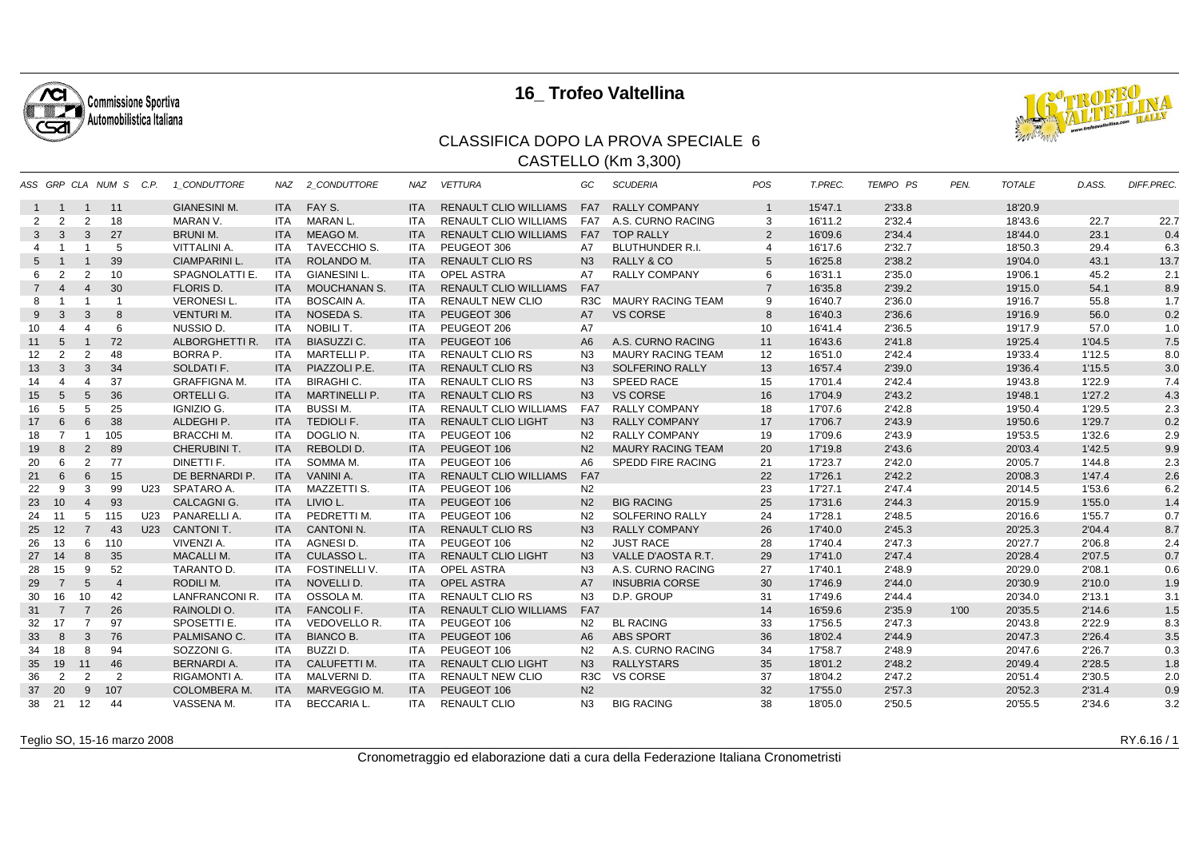

## **16\_ Trofeo Valtellina**



## CLASSIFICA DOPO LA PROVA SPECIALE 6CASTELLO (Km 3,300)

|                |                |                          | ASS GRP CLA NUM S C.P.  |     | 1 CONDUTTORE         | NAZ        | 2 CONDUTTORE         | NAZ        | <b>VETTURA</b>               | GC               | <b>SCUDERIA</b>          | POS            | T.PREC. | TEMPO PS | PEN. | <b>TOTALE</b> | D.ASS. | <b>DIFF.PREC.</b> |
|----------------|----------------|--------------------------|-------------------------|-----|----------------------|------------|----------------------|------------|------------------------------|------------------|--------------------------|----------------|---------|----------|------|---------------|--------|-------------------|
|                | $1 \quad 1$    | $\overline{1}$           | 11                      |     | <b>GIANESINI M.</b>  | <b>ITA</b> | FAY S.               | <b>ITA</b> | <b>RENAULT CLIO WILLIAMS</b> | FA7              | <b>RALLY COMPANY</b>     | $\mathbf{1}$   | 15'47.1 | 2'33.8   |      | 18'20.9       |        |                   |
| 2              | $\overline{2}$ | 2                        | 18                      |     | MARAN V.             | ITA        | MARAN L.             | <b>ITA</b> | <b>RENAULT CLIO WILLIAMS</b> | FA7              | A.S. CURNO RACING        | 3              | 16'11.2 | 2'32.4   |      | 18'43.6       | 22.7   | 22.7              |
| 3              | 3              | 3                        | 27                      |     | <b>BRUNI M.</b>      | <b>ITA</b> | MEAGO M.             | <b>ITA</b> | <b>RENAULT CLIO WILLIAMS</b> | FA7              | <b>TOP RALLY</b>         | 2              | 16'09.6 | 2'34.4   |      | 18'44.0       | 23.1   | 0.4               |
| 4              |                |                          | 5                       |     | <b>VITTALINI A.</b>  | ITA        | <b>TAVECCHIO S.</b>  | <b>ITA</b> | PEUGEOT 306                  | <b>A7</b>        | <b>BLUTHUNDER R.I.</b>   | $\overline{4}$ | 16'17.6 | 2'32.7   |      | 18'50.3       | 29.4   | 6.3               |
| 5              |                | -1                       | 39                      |     | <b>CIAMPARINI L.</b> | <b>ITA</b> | ROLANDO M.           | <b>ITA</b> | <b>RENAULT CLIO RS</b>       | N <sub>3</sub>   | <b>RALLY &amp; CO</b>    | 5              | 16'25.8 | 2'38.2   |      | 19'04.0       | 43.1   | 13.7              |
| 6              | $\overline{2}$ | $\overline{2}$           | 10                      |     | SPAGNOLATTI E.       | ITA        | <b>GIANESINI L.</b>  | ITA.       | <b>OPEL ASTRA</b>            | A7               | <b>RALLY COMPANY</b>     | 6              | 16'31.1 | 2'35.0   |      | 19'06.1       | 45.2   | 2.1               |
| $\overline{7}$ | $\overline{4}$ | $\overline{4}$           | 30                      |     | <b>FLORIS D.</b>     | <b>ITA</b> | <b>MOUCHANAN S.</b>  | <b>ITA</b> | <b>RENAULT CLIO WILLIAMS</b> | FA7              |                          | $\overline{7}$ | 16'35.8 | 2'39.2   |      | 19'15.0       | 54.1   | 8.9               |
| 8              |                | $\overline{\phantom{0}}$ | $\overline{\mathbf{1}}$ |     | <b>VERONESIL.</b>    | <b>ITA</b> | <b>BOSCAIN A</b>     | <b>ITA</b> | <b>RENAULT NEW CLIO</b>      | R <sub>3</sub> C | <b>MAURY RACING TEAM</b> | 9              | 16'40.7 | 2'36.0   |      | 19'16.7       | 55.8   | 1.7               |
| 9              | 3              | 3                        | 8                       |     | <b>VENTURI M.</b>    | <b>ITA</b> | NOSEDA S.            | <b>ITA</b> | PEUGEOT 306                  | <b>A7</b>        | <b>VS CORSE</b>          | 8              | 16'40.3 | 2'36.6   |      | 19'16.9       | 56.0   | 0.2               |
| 10             | 4              | 4                        | 6                       |     | NUSSIO D.            | ITA        | NOBILI T.            | <b>ITA</b> | PEUGEOT 206                  | <b>A7</b>        |                          | 10             | 16'41.4 | 2'36.5   |      | 19'17.9       | 57.0   | 1.0               |
| 11             | 5              | $\overline{1}$           | 72                      |     | ALBORGHETTI R.       | <b>ITA</b> | <b>BIASUZZI C.</b>   | <b>ITA</b> | PEUGEOT 106                  | A <sub>6</sub>   | A.S. CURNO RACING        | 11             | 16'43.6 | 2'41.8   |      | 19'25.4       | 1'04.5 | 7.5               |
| 12             | $\overline{2}$ | 2                        | 48                      |     | <b>BORRA P.</b>      | <b>ITA</b> | MARTELLI P.          | <b>ITA</b> | <b>RENAULT CLIO RS</b>       | N <sub>3</sub>   | <b>MAURY RACING TEAM</b> | 12             | 16'51.0 | 2'42.4   |      | 19'33.4       | 1'12.5 | 8.0               |
| 13             | 3              | 3                        | 34                      |     | SOLDATI F.           | <b>ITA</b> | PIAZZOLI P.E.        | <b>ITA</b> | <b>RENAULT CLIO RS</b>       | N <sub>3</sub>   | SOLFERINO RALLY          | 13             | 16'57.4 | 2'39.0   |      | 19'36.4       | 1'15.5 | 3.0               |
| 14             | 4              | $\overline{4}$           | 37                      |     | <b>GRAFFIGNA M.</b>  | ITA        | <b>BIRAGHI C.</b>    | <b>ITA</b> | <b>RENAULT CLIO RS</b>       | N3               | SPEED RACE               | 15             | 17'01.4 | 2'42.4   |      | 19'43.8       | 1'22.9 | 7.4               |
| 15             | 5              | 5                        | 36                      |     | ORTELLI G.           | <b>ITA</b> | <b>MARTINELLI P.</b> | <b>ITA</b> | <b>RENAULT CLIO RS</b>       | N <sub>3</sub>   | <b>VS CORSE</b>          | 16             | 17'04.9 | 2'43.2   |      | 19'48.1       | 1'27.2 | 4.3               |
| 16             | 5              | 5                        | 25                      |     | IGNIZIO G.           | ITA.       | <b>BUSSIM.</b>       | <b>ITA</b> | <b>RENAULT CLIO WILLIAMS</b> | FA7              | <b>RALLY COMPANY</b>     | 18             | 17'07.6 | 2'42.8   |      | 19'50.4       | 1'29.5 | 2.3               |
| 17             | 6              | 6                        | 38                      |     | ALDEGHI P.           | <b>ITA</b> | <b>TEDIOLI F.</b>    | <b>ITA</b> | <b>RENAULT CLIO LIGHT</b>    | N <sub>3</sub>   | <b>RALLY COMPANY</b>     | 17             | 17'06.7 | 2'43.9   |      | 19'50.6       | 1'29.7 | 0.2               |
| 18             | $\overline{7}$ | - 1                      | 105                     |     | <b>BRACCHI M.</b>    | ITA        | DOGLIO N.            | <b>ITA</b> | PEUGEOT 106                  | N <sub>2</sub>   | <b>RALLY COMPANY</b>     | 19             | 17'09.6 | 2'43.9   |      | 19'53.5       | 1'32.6 | 2.9               |
| 19             | 8              | 2                        | 89                      |     | CHERUBINI T.         | <b>ITA</b> | REBOLDI D.           | <b>ITA</b> | PEUGEOT 106                  | N <sub>2</sub>   | <b>MAURY RACING TEAM</b> | 20             | 17'19.8 | 2'43.6   |      | 20'03.4       | 1'42.5 | 9.9               |
| 20             | 6              | 2                        | 77                      |     | DINETTI F.           | ITA.       | SOMMA M.             | <b>ITA</b> | PEUGEOT 106                  | A6               | SPEDD FIRE RACING        | 21             | 17'23.7 | 2'42.0   |      | 20'05.7       | 1'44.8 | 2.3               |
| 21             | 6              | 6                        | 15                      |     | DE BERNARDI P.       | <b>ITA</b> | <b>VANINI A.</b>     | <b>ITA</b> | <b>RENAULT CLIO WILLIAMS</b> | FA7              |                          | 22             | 17'26.1 | 2'42.2   |      | 20'08.3       | 1'47.4 | 2.6               |
| 22             | 9              | 3                        | 99                      | U23 | SPATARO A.           | ITA        | MAZZETTI S.          | <b>ITA</b> | PEUGEOT 106                  | N <sub>2</sub>   |                          | 23             | 17'27.1 | 2'47.4   |      | 20'14.5       | 1'53.6 | 6.2               |
| 23             | 10             | $\overline{4}$           | 93                      |     | <b>CALCAGNIG.</b>    | <b>ITA</b> | LIVIO L.             | <b>ITA</b> | PEUGEOT 106                  | N <sub>2</sub>   | <b>BIG RACING</b>        | 25             | 17'31.6 | 2'44.3   |      | 20'15.9       | 1'55.0 | 1.4               |
| 24             | 11             | 5                        | 115                     |     | U23 PANARELLIA.      | ITA        | PEDRETTI M.          | <b>ITA</b> | PEUGEOT 106                  | N <sub>2</sub>   | SOLFERINO RALLY          | 24             | 17'28.1 | 2'48.5   |      | 20'16.6       | 1'55.7 | 0.7               |
| 25             | 12             | $\overline{7}$           | 43                      | U23 | <b>CANTONIT.</b>     | <b>ITA</b> | <b>CANTONIN.</b>     | <b>ITA</b> | <b>RENAULT CLIO RS</b>       | N <sub>3</sub>   | <b>RALLY COMPANY</b>     | 26             | 17'40.0 | 2'45.3   |      | 20'25.3       | 2'04.4 | 8.7               |
| 26             | 13             | 6                        | 110                     |     | VIVENZI A.           | ITA        | AGNESI D.            | <b>ITA</b> | PEUGEOT 106                  | N <sub>2</sub>   | <b>JUST RACE</b>         | 28             | 17'40.4 | 2'47.3   |      | 20'27.7       | 2'06.8 | 2.4               |
| 27             | 14             | 8                        | 35                      |     | <b>MACALLIM.</b>     | <b>ITA</b> | CULASSO L.           | <b>ITA</b> | <b>RENAULT CLIO LIGHT</b>    | N <sub>3</sub>   | VALLE D'AOSTA R.T.       | 29             | 17'41.0 | 2'47.4   |      | 20'28.4       | 2'07.5 | 0.7               |
| 28             | 15             | 9                        | 52                      |     | TARANTO D.           | ITA        | <b>FOSTINELLI V.</b> | ITA.       | <b>OPEL ASTRA</b>            | N3               | A.S. CURNO RACING        | 27             | 17'40.1 | 2'48.9   |      | 20'29.0       | 2'08.1 | 0.6               |
| 29             | $\overline{7}$ | 5                        | $\overline{4}$          |     | RODILI M.            | <b>ITA</b> | NOVELLI D.           | <b>ITA</b> | <b>OPEL ASTRA</b>            | <b>A7</b>        | <b>INSUBRIA CORSE</b>    | 30             | 17'46.9 | 2'44.0   |      | 20'30.9       | 2'10.0 | 1.9               |
| 30             | 16             | 10                       | 42                      |     | LANFRANCONI R.       | ITA        | OSSOLA M.            | <b>ITA</b> | <b>RENAULT CLIO RS</b>       | N3               | D.P. GROUP               | 31             | 17'49.6 | 2'44.4   |      | 20'34.0       | 2'13.1 | 3.1               |
| 31             | $\overline{7}$ | $\overline{7}$           | 26                      |     | RAINOLDI O.          | ITA I      | <b>FANCOLIF.</b>     | <b>ITA</b> | <b>RENAULT CLIO WILLIAMS</b> | FA7              |                          | 14             | 16'59.6 | 2'35.9   | 1'00 | 20'35.5       | 2'14.6 | 1.5               |
| 32             | 17             | $\overline{7}$           | 97                      |     | SPOSETTI E.          | ITA        | <b>VEDOVELLO R.</b>  | <b>ITA</b> | PEUGEOT 106                  | N <sub>2</sub>   | <b>BL RACING</b>         | 33             | 17'56.5 | 2'47.3   |      | 20'43.8       | 2'22.9 | 8.3               |
| 33             | 8              | 3                        | 76                      |     | PALMISANO C.         | <b>ITA</b> | <b>BIANCO B.</b>     | <b>ITA</b> | PEUGEOT 106                  | A <sub>6</sub>   | <b>ABS SPORT</b>         | 36             | 18'02.4 | 2'44.9   |      | 20'47.3       | 2'26.4 | 3.5               |
| 34             | 18             | 8                        | 94                      |     | SOZZONI G.           | <b>ITA</b> | BUZZI D.             | <b>ITA</b> | PEUGEOT 106                  | N <sub>2</sub>   | A.S. CURNO RACING        | 34             | 17'58.7 | 2'48.9   |      | 20'47.6       | 2'26.7 | 0.3               |
| 35             | 19             | 11                       | 46                      |     | <b>BERNARDI A.</b>   | <b>ITA</b> | CALUFETTI M.         | <b>ITA</b> | <b>RENAULT CLIO LIGHT</b>    | N3               | <b>RALLYSTARS</b>        | 35             | 18'01.2 | 2'48.2   |      | 20'49.4       | 2'28.5 | 1.8               |
| 36             | $\overline{2}$ | 2                        | 2                       |     | RIGAMONTI A.         | ITA        | MALVERNI D.          | <b>ITA</b> | <b>RENAULT NEW CLIO</b>      | R <sub>3</sub> C | <b>VS CORSE</b>          | 37             | 18'04.2 | 2'47.2   |      | 20'51.4       | 2'30.5 | 2.0               |
| 37             | 20             | 9                        | 107                     |     | <b>COLOMBERA M.</b>  | <b>ITA</b> | MARVEGGIO M.         | <b>ITA</b> | PEUGEOT 106                  | N <sub>2</sub>   |                          | 32             | 17'55.0 | 2'57.3   |      | 20'52.3       | 2'31.4 | 0.9               |
| 38             | 21             | 12                       | 44                      |     | VASSENA M.           | ITA        | <b>BECCARIA L</b>    | ITA.       | <b>RENAULT CLIO</b>          | N <sub>3</sub>   | <b>BIG RACING</b>        | 38             | 18'05.0 | 2'50.5   |      | 20'55.5       | 2'34.6 | 3.2               |

Teglio SO, 15-16 marzo 2008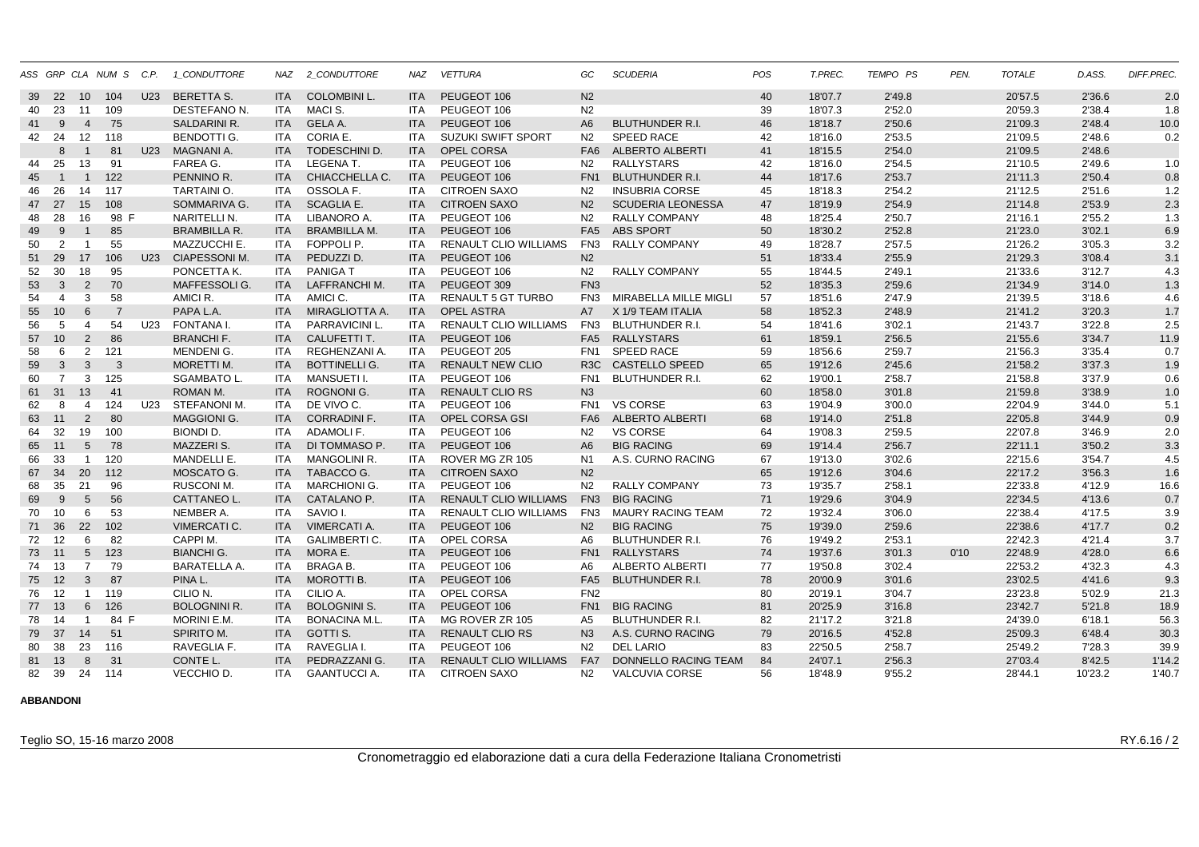|    |                |                 | ASS GRP CLA NUM S C.P. |     | 1 CONDUTTORE         |            | NAZ 2 CONDUTTORE     | <b>NAZ</b> | <b>VETTURA</b>               | GC              | <b>SCUDERIA</b>          | POS | T.PREC. | TEMPO PS | PEN. | <b>TOTALE</b> | D.ASS.  | DIFF.PREC. |
|----|----------------|-----------------|------------------------|-----|----------------------|------------|----------------------|------------|------------------------------|-----------------|--------------------------|-----|---------|----------|------|---------------|---------|------------|
| 39 | - 22           | 10              | 104                    | U23 | <b>BERETTA S.</b>    | <b>ITA</b> | <b>COLOMBINI L.</b>  | <b>ITA</b> | PEUGEOT 106                  | N <sub>2</sub>  |                          | 40  | 18'07.7 | 2'49.8   |      | 20'57.5       | 2'36.6  | 2.0        |
| 40 | 23             | 11              | 109                    |     | DESTEFANO N.         | ITA        | MACI S.              | <b>ITA</b> | PEUGEOT 106                  | N <sub>2</sub>  |                          | 39  | 18'07.3 | 2'52.0   |      | 20'59.3       | 2'38.4  | 1.8        |
| 41 | 9              | $\overline{4}$  | 75                     |     | <b>SALDARINI R.</b>  | <b>ITA</b> | <b>GELA A.</b>       | <b>ITA</b> | PEUGEOT 106                  | A <sub>6</sub>  | <b>BLUTHUNDER R.I.</b>   | 46  | 18'18.7 | 2'50.6   |      | 21'09.3       | 2'48.4  | 10.0       |
| 42 | 24             | 12              | 118                    |     | <b>BENDOTTI G.</b>   | ITA.       | CORIA E.             | <b>ITA</b> | <b>SUZUKI SWIFT SPORT</b>    | N <sub>2</sub>  | <b>SPEED RACE</b>        | 42  | 18'16.0 | 2'53.5   |      | 21'09.5       | 2'48.6  | 0.2        |
|    | 8              | $\overline{1}$  | 81                     | U23 | MAGNANI A.           | <b>ITA</b> | <b>TODESCHINI D.</b> | <b>ITA</b> | <b>OPEL CORSA</b>            | FA <sub>6</sub> | <b>ALBERTO ALBERTI</b>   | 41  | 18'15.5 | 2'54.0   |      | 21'09.5       | 2'48.6  |            |
| 44 | 25             | 13              | 91                     |     | FAREA G.             | ITA.       | <b>LEGENA T.</b>     | <b>ITA</b> | PEUGEOT 106                  | N2              | <b>RALLYSTARS</b>        | 42  | 18'16.0 | 2'54.5   |      | 21'10.5       | 2'49.6  | 1.0        |
| 45 | $\overline{1}$ | $\mathbf{1}$    | 122                    |     | PENNINO R.           | <b>ITA</b> | CHIACCHELLA C.       | <b>ITA</b> | PEUGEOT 106                  | FN <sub>1</sub> | <b>BLUTHUNDER R.I.</b>   | 44  | 18'17.6 | 2'53.7   |      | 21'11.3       | 2'50.4  | 0.8        |
| 46 | 26             | 14              | 117                    |     | TARTAINI O.          | ITA        | OSSOLA F.            | ITA.       | <b>CITROEN SAXO</b>          | N2              | <b>INSUBRIA CORSE</b>    | 45  | 18'18.3 | 2'54.2   |      | 21'12.5       | 2'51.6  | 1.2        |
|    | 47 27          | 15              | 108                    |     | SOMMARIVA G.         | <b>ITA</b> | <b>SCAGLIA E.</b>    | <b>ITA</b> | <b>CITROEN SAXO</b>          | N <sub>2</sub>  | <b>SCUDERIA LEONESSA</b> | 47  | 18'19.9 | 2'54.9   |      | 21'14.8       | 2'53.9  | 2.3        |
| 48 | 28             | 16              | 98 F                   |     | NARITELLI N.         | <b>ITA</b> | LIBANORO A.          | <b>ITA</b> | PEUGEOT 106                  | N <sub>2</sub>  | <b>RALLY COMPANY</b>     | 48  | 18'25.4 | 2'50.7   |      | 21'16.1       | 2'55.2  | 1.3        |
| 49 | 9              | $\mathbf 1$     | 85                     |     | <b>BRAMBILLA R.</b>  | <b>ITA</b> | <b>BRAMBILLA M.</b>  | <b>ITA</b> | PEUGEOT 106                  |                 | FA5 ABS SPORT            | 50  | 18'30.2 | 2'52.8   |      | 21'23.0       | 3'02.1  | 6.9        |
| 50 | 2              | -1              | 55                     |     | MAZZUCCHI E.         | ITA.       | FOPPOLI P.           | <b>ITA</b> | RENAULT CLIO WILLIAMS        | FN <sub>3</sub> | <b>RALLY COMPANY</b>     | 49  | 18'28.7 | 2'57.5   |      | 21'26.2       | 3'05.3  | 3.2        |
| 51 | 29             | 17              | 106                    | U23 | <b>CIAPESSONI M.</b> | <b>ITA</b> | PEDUZZI D.           | <b>ITA</b> | PEUGEOT 106                  | N <sub>2</sub>  |                          | 51  | 18'33.4 | 2'55.9   |      | 21'29.3       | 3'08.4  | 3.1        |
| 52 | 30             | 18              | 95                     |     | PONCETTA K.          | ITA.       | <b>PANIGAT</b>       | <b>ITA</b> | PEUGEOT 106                  | N <sub>2</sub>  | <b>RALLY COMPANY</b>     | 55  | 18'44.5 | 2'49.1   |      | 21'33.6       | 3'12.7  | 4.3        |
| 53 | 3              | 2               | 70                     |     | MAFFESSOLI G.        | <b>ITA</b> | <b>LAFFRANCHIM.</b>  | <b>ITA</b> | PEUGEOT 309                  | FN <sub>3</sub> |                          | 52  | 18'35.3 | 2'59.6   |      | 21'34.9       | 3'14.0  | 1.3        |
| 54 | $\overline{4}$ | 3               | 58                     |     | AMICI R.             | ITA        | AMICI C.             | <b>ITA</b> | <b>RENAULT 5 GT TURBO</b>    | FN <sub>3</sub> | MIRABELLA MILLE MIGLI    | 57  | 18'51.6 | 2'47.9   |      | 21'39.5       | 3'18.6  | 4.6        |
| 55 | 10             | 6               | $\overline{7}$         |     | PAPA L.A.            | <b>ITA</b> | MIRAGLIOTTA A.       | <b>ITA</b> | <b>OPEL ASTRA</b>            | A7              | X 1/9 TEAM ITALIA        | 58  | 18'52.3 | 2'48.9   |      | 21'41.2       | 3'20.3  | 1.7        |
| 56 | 5              | $\overline{4}$  | 54                     | U23 | FONTANA I.           | <b>ITA</b> | PARRAVICINI L.       | <b>ITA</b> | RENAULT CLIO WILLIAMS        | FN <sub>3</sub> | <b>BLUTHUNDER R.I.</b>   | 54  | 18'41.6 | 3'02.1   |      | 21'43.7       | 3'22.8  | 2.5        |
| 57 | 10             | 2               | 86                     |     | <b>BRANCHIF.</b>     | <b>ITA</b> | CALUFETTI T.         | <b>ITA</b> | PEUGEOT 106                  | FA <sub>5</sub> | <b>RALLYSTARS</b>        | 61  | 18'59.1 | 2'56.5   |      | 21'55.6       | 3'34.7  | 11.9       |
| 58 | 6              | 2               | 121                    |     | MENDENI G.           | ITA.       | REGHENZANI A.        | <b>ITA</b> | PEUGEOT 205                  | FN <sub>1</sub> | <b>SPEED RACE</b>        | 59  | 18'56.6 | 2'59.7   |      | 21'56.3       | 3'35.4  | 0.7        |
| 59 | $\mathbf{3}$   | 3               | 3                      |     | MORETTI M.           | ITA.       | <b>BOTTINELLI G.</b> | <b>ITA</b> | <b>RENAULT NEW CLIO</b>      |                 | R3C CASTELLO SPEED       | 65  | 19'12.6 | 2'45.6   |      | 21'58.2       | 3'37.3  | 1.9        |
| 60 | $\overline{7}$ | 3               | 125                    |     | <b>SGAMBATO L.</b>   | ITA        | MANSUETI I.          | <b>ITA</b> | PEUGEOT 106                  | FN <sub>1</sub> | <b>BLUTHUNDER R.I.</b>   | 62  | 19'00.1 | 2'58.7   |      | 21'58.8       | 3'37.9  | 0.6        |
| 61 | 31             | 13              | 41                     |     | ROMAN M.             | <b>ITA</b> | <b>ROGNONIG.</b>     | <b>ITA</b> | <b>RENAULT CLIO RS</b>       | N3              |                          | 60  | 18'58.0 | 3'01.8   |      | 21'59.8       | 3'38.9  | 1.0        |
| 62 | 8              | $\overline{4}$  | 124                    | U23 | STEFANONI M.         | ITA.       | DE VIVO C.           | <b>ITA</b> | PEUGEOT 106                  |                 | FN1 VS CORSE             | 63  | 19'04.9 | 3'00.0   |      | 22'04.9       | 3'44.0  | 5.1        |
|    | 63 11          | 2               | 80                     |     | MAGGIONI G.          | <b>ITA</b> | <b>CORRADINI F.</b>  | <b>ITA</b> | <b>OPEL CORSA GSI</b>        | FA <sub>6</sub> | <b>ALBERTO ALBERTI</b>   | 68  | 19'14.0 | 2'51.8   |      | 22'05.8       | 3'44.9  | 0.9        |
| 64 | 32             | 19              | 100                    |     | <b>BIONDI D.</b>     | ITA        | <b>ADAMOLIF.</b>     | <b>ITA</b> | PEUGEOT 106                  | N <sub>2</sub>  | <b>VS CORSE</b>          | 64  | 19'08.3 | 2'59.5   |      | 22'07.8       | 3'46.9  | 2.0        |
| 65 | 11             | $5\phantom{.0}$ | 78                     |     | MAZZERI S.           | <b>ITA</b> | DI TOMMASO P.        | <b>ITA</b> | PEUGEOT 106                  | A <sub>6</sub>  | <b>BIG RACING</b>        | 69  | 19'14.4 | 2'56.7   |      | 22'11.1       | 3'50.2  | 3.3        |
| 66 | 33             | $\overline{1}$  | 120                    |     | MANDELLI E.          | ITA        | <b>MANGOLINI R.</b>  | <b>ITA</b> | ROVER MG ZR 105              | N <sub>1</sub>  | A.S. CURNO RACING        | 67  | 19'13.0 | 3'02.6   |      | 22'15.6       | 3'54.7  | 4.5        |
| 67 | 34             | 20              | 112                    |     | MOSCATO G.           | <b>ITA</b> | TABACCO G.           | <b>ITA</b> | <b>CITROEN SAXO</b>          | N <sub>2</sub>  |                          | 65  | 19'12.6 | 3'04.6   |      | 22'17.2       | 3'56.3  | 1.6        |
| 68 | 35             | 21              | 96                     |     | <b>RUSCONI M.</b>    | ITA.       | <b>MARCHIONI G.</b>  | <b>ITA</b> | PEUGEOT 106                  | N <sub>2</sub>  | <b>RALLY COMPANY</b>     | 73  | 19'35.7 | 2'58.1   |      | 22'33.8       | 4'12.9  | 16.6       |
| 69 | 9              | $5\phantom{.0}$ | 56                     |     | CATTANEO L.          | <b>ITA</b> | CATALANO P.          | <b>ITA</b> | <b>RENAULT CLIO WILLIAMS</b> | FN <sub>3</sub> | <b>BIG RACING</b>        | 71  | 19'29.6 | 3'04.9   |      | 22'34.5       | 4'13.6  | 0.7        |
| 70 | 10             | 6               | 53                     |     | NEMBER A.            | ITA.       | SAVIO I.             | <b>ITA</b> | <b>RENAULT CLIO WILLIAMS</b> | FN3             | <b>MAURY RACING TEAM</b> | 72  | 19'32.4 | 3'06.0   |      | 22'38.4       | 4'17.5  | 3.9        |
| 71 | 36             | 22              | 102                    |     | <b>VIMERCATI C.</b>  | <b>ITA</b> | <b>VIMERCATI A.</b>  | <b>ITA</b> | PEUGEOT 106                  | N <sub>2</sub>  | <b>BIG RACING</b>        | 75  | 19'39.0 | 2'59.6   |      | 22'38.6       | 4'17.7  | 0.2        |
| 72 | 12             | 6               | 82                     |     | CAPPI M.             | <b>ITA</b> | <b>GALIMBERTI C.</b> | <b>ITA</b> | OPEL CORSA                   | A6              | <b>BLUTHUNDER R.I.</b>   | 76  | 19'49.2 | 2'53.1   |      | 22'42.3       | 4'21.4  | 3.7        |
| 73 | 11             | $5\overline{)}$ | 123                    |     | <b>BIANCHI G.</b>    | <b>ITA</b> | MORA E.              | <b>ITA</b> | PEUGEOT 106                  | FN <sub>1</sub> | <b>RALLYSTARS</b>        | 74  | 19'37.6 | 3'01.3   | 0'10 | 22'48.9       | 4'28.0  | 6.6        |
| 74 | 13             | $\overline{7}$  | 79                     |     | <b>BARATELLA A.</b>  | <b>ITA</b> | <b>BRAGA B.</b>      | <b>ITA</b> | PEUGEOT 106                  | A6              | <b>ALBERTO ALBERTI</b>   | 77  | 19'50.8 | 3'02.4   |      | 22'53.2       | 4'32.3  | 4.3        |
|    | 75 12          | 3               | 87                     |     | PINA L.              | <b>ITA</b> | <b>MOROTTI B.</b>    | <b>ITA</b> | PEUGEOT 106                  | FA <sub>5</sub> | <b>BLUTHUNDER R.I.</b>   | 78  | 20'00.9 | 3'01.6   |      | 23'02.5       | 4'41.6  | 9.3        |
| 76 | 12             | $\overline{1}$  | 119                    |     | CILIO N.             | <b>ITA</b> | CILIO A.             | <b>ITA</b> | OPEL CORSA                   | FN <sub>2</sub> |                          | 80  | 20'19.1 | 3'04.7   |      | 23'23.8       | 5'02.9  | 21.3       |
| 77 | 13             | 6               | 126                    |     | <b>BOLOGNINI R.</b>  | <b>ITA</b> | <b>BOLOGNINI S.</b>  | <b>ITA</b> | PEUGEOT 106                  | FN <sub>1</sub> | <b>BIG RACING</b>        | 81  | 20'25.9 | 3'16.8   |      | 23'42.7       | 5'21.8  | 18.9       |
| 78 | 14             | $\overline{1}$  | 84 F                   |     | MORINI E.M.          | <b>ITA</b> | <b>BONACINA M.L.</b> | <b>ITA</b> | MG ROVER ZR 105              | A5              | BLUTHUNDER R.I.          | 82  | 21'17.2 | 3'21.8   |      | 24'39.0       | 6'18.1  | 56.3       |
| 79 | 37             | 14              | 51                     |     | SPIRITO M.           | <b>ITA</b> | <b>GOTTI S.</b>      | <b>ITA</b> | <b>RENAULT CLIO RS</b>       | N <sub>3</sub>  | A.S. CURNO RACING        | 79  | 20'16.5 | 4'52.8   |      | 25'09.3       | 6'48.4  | 30.3       |
| 80 | 38             | 23              | 116                    |     | RAVEGLIA F.          | ITA.       | RAVEGLIA I.          | <b>ITA</b> | PEUGEOT 106                  | N <sub>2</sub>  | <b>DEL LARIO</b>         | 83  | 22'50.5 | 2'58.7   |      | 25'49.2       | 7'28.3  | 39.9       |
| 81 | 13             | 8               | 31                     |     | CONTE L.             | <b>ITA</b> | PEDRAZZANI G.        | <b>ITA</b> | <b>RENAULT CLIO WILLIAMS</b> | FA7             | DONNELLO RACING TEAM     | 84  | 24'07.1 | 2'56.3   |      | 27'03.4       | 8'42.5  | 1'14.2     |
| 82 | 39             | 24              | 114                    |     | VECCHIO D.           | ITA.       | <b>GAANTUCCIA.</b>   | <b>ITA</b> | <b>CITROEN SAXO</b>          | N <sub>2</sub>  | <b>VALCUVIA CORSE</b>    | 56  | 18'48.9 | 9'55.2   |      | 28'44.1       | 10'23.2 | 1'40.7     |
|    |                |                 |                        |     |                      |            |                      |            |                              |                 |                          |     |         |          |      |               |         |            |

## **ABBANDONI**

Teglio SO, 15-16 marzo 2008